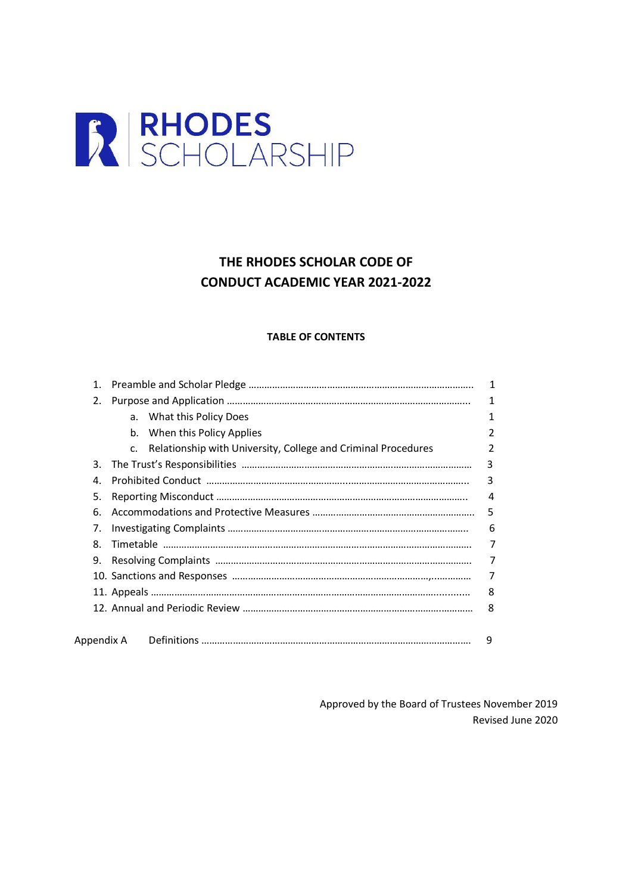

# THE RHODES SCHOLAR CODE OF CONDUCT ACADEMIC YEAR 202**1**-202**2**

## TABLE OF CONTENTS

| 1. |                                                                                 | 1 |
|----|---------------------------------------------------------------------------------|---|
| 2. |                                                                                 | 1 |
|    | What this Policy Does<br>a.                                                     |   |
|    | When this Policy Applies<br>b.                                                  |   |
|    | Relationship with University, College and Criminal Procedures<br>C <sub>1</sub> |   |
| 3. |                                                                                 | 3 |
| 4. |                                                                                 | 3 |
| 5. |                                                                                 | 4 |
| 6. |                                                                                 | 5 |
| 7. |                                                                                 | 6 |
| 8. |                                                                                 | 7 |
| 9. |                                                                                 | 7 |
|    |                                                                                 | 7 |
|    |                                                                                 | 8 |
|    |                                                                                 | 8 |
|    |                                                                                 |   |
|    | Appendix A                                                                      | 9 |

Approved by the Board of Trustees November 2019 Revised June 2020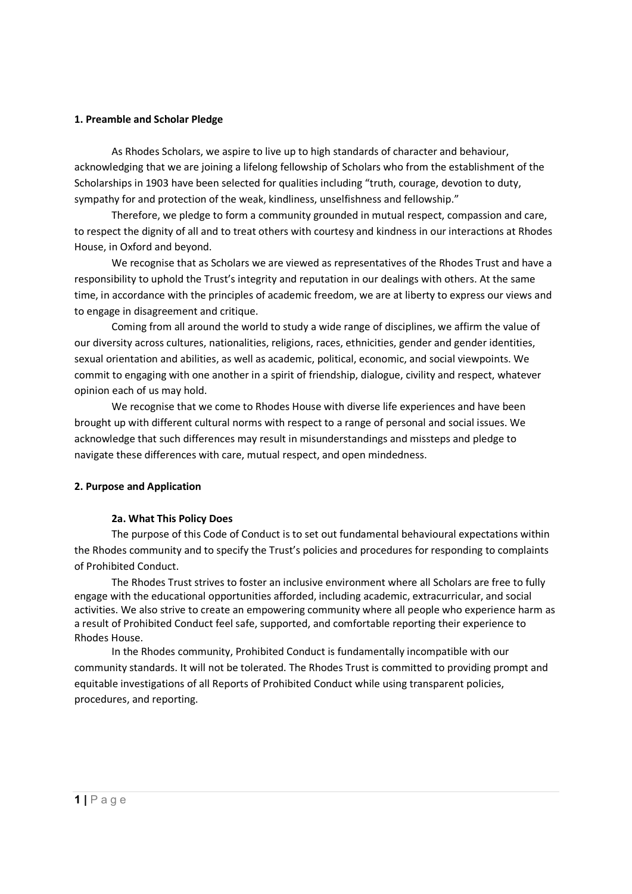### 1. Preamble and Scholar Pledge

As Rhodes Scholars, we aspire to live up to high standards of character and behaviour, acknowledging that we are joining a lifelong fellowship of Scholars who from the establishment of the Scholarships in 1903 have been selected for qualities including "truth, courage, devotion to duty, sympathy for and protection of the weak, kindliness, unselfishness and fellowship."

Therefore, we pledge to form a community grounded in mutual respect, compassion and care, to respect the dignity of all and to treat others with courtesy and kindness in our interactions at Rhodes House, in Oxford and beyond.

We recognise that as Scholars we are viewed as representatives of the Rhodes Trust and have a responsibility to uphold the Trust's integrity and reputation in our dealings with others. At the same time, in accordance with the principles of academic freedom, we are at liberty to express our views and to engage in disagreement and critique.

Coming from all around the world to study a wide range of disciplines, we affirm the value of our diversity across cultures, nationalities, religions, races, ethnicities, gender and gender identities, sexual orientation and abilities, as well as academic, political, economic, and social viewpoints. We commit to engaging with one another in a spirit of friendship, dialogue, civility and respect, whatever opinion each of us may hold.

We recognise that we come to Rhodes House with diverse life experiences and have been brought up with different cultural norms with respect to a range of personal and social issues. We acknowledge that such differences may result in misunderstandings and missteps and pledge to navigate these differences with care, mutual respect, and open mindedness.

#### 2. Purpose and Application

#### 2a. What This Policy Does

The purpose of this Code of Conduct is to set out fundamental behavioural expectations within the Rhodes community and to specify the Trust's policies and procedures for responding to complaints of Prohibited Conduct.

The Rhodes Trust strives to foster an inclusive environment where all Scholars are free to fully engage with the educational opportunities afforded, including academic, extracurricular, and social activities. We also strive to create an empowering community where all people who experience harm as a result of Prohibited Conduct feel safe, supported, and comfortable reporting their experience to Rhodes House.

In the Rhodes community, Prohibited Conduct is fundamentally incompatible with our community standards. It will not be tolerated. The Rhodes Trust is committed to providing prompt and equitable investigations of all Reports of Prohibited Conduct while using transparent policies, procedures, and reporting.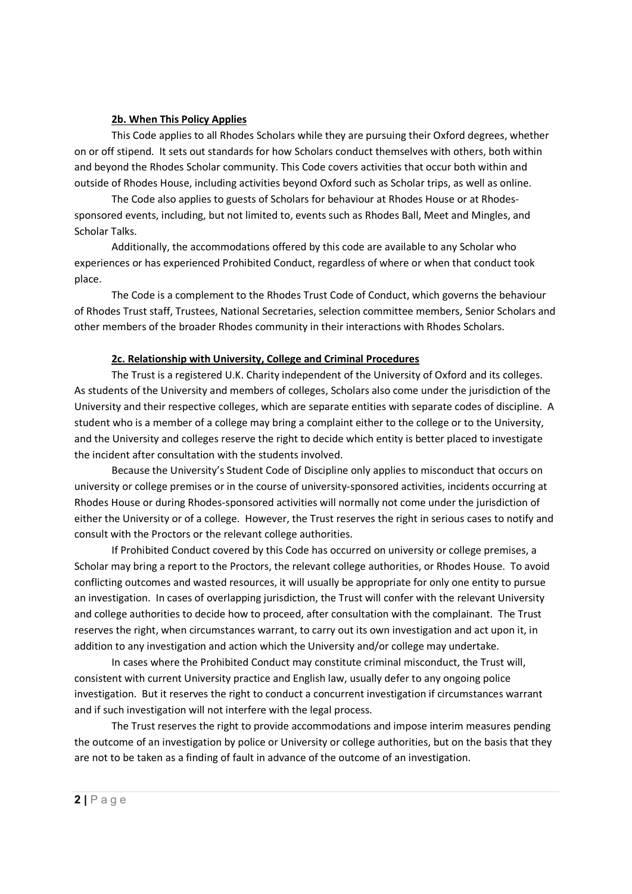#### 2b. When This Policy Applies

This Code applies to all Rhodes Scholars while they are pursuing their Oxford degrees, whether on or off stipend. It sets out standards for how Scholars conduct themselves with others, both within and beyond the Rhodes Scholar community. This Code covers activities that occur both within and outside of Rhodes House, including activities beyond Oxford such as Scholar trips, as well as online.

The Code also applies to guests of Scholars for behaviour at Rhodes House or at Rhodessponsored events, including, but not limited to, events such as Rhodes Ball, Meet and Mingles, and Scholar Talks.

Additionally, the accommodations offered by this code are available to any Scholar who experiences or has experienced Prohibited Conduct, regardless of where or when that conduct took place.

The Code is a complement to the Rhodes Trust Code of Conduct, which governs the behaviour of Rhodes Trust staff, Trustees, National Secretaries, selection committee members, Senior Scholars and other members of the broader Rhodes community in their interactions with Rhodes Scholars.

#### 2c. Relationship with University, College and Criminal Procedures

The Trust is a registered U.K. Charity independent of the University of Oxford and its colleges. As students of the University and members of colleges, Scholars also come under the jurisdiction of the University and their respective colleges, which are separate entities with separate codes of discipline. A student who is a member of a college may bring a complaint either to the college or to the University, and the University and colleges reserve the right to decide which entity is better placed to investigate the incident after consultation with the students involved.

Because the University's Student Code of Discipline only applies to misconduct that occurs on university or college premises or in the course of university-sponsored activities, incidents occurring at Rhodes House or during Rhodes-sponsored activities will normally not come under the jurisdiction of either the University or of a college. However, the Trust reserves the right in serious cases to notify and consult with the Proctors or the relevant college authorities.

If Prohibited Conduct covered by this Code has occurred on university or college premises, a Scholar may bring a report to the Proctors, the relevant college authorities, or Rhodes House. To avoid conflicting outcomes and wasted resources, it will usually be appropriate for only one entity to pursue an investigation. In cases of overlapping jurisdiction, the Trust will confer with the relevant University and college authorities to decide how to proceed, after consultation with the complainant. The Trust reserves the right, when circumstances warrant, to carry out its own investigation and act upon it, in addition to any investigation and action which the University and/or college may undertake.

 In cases where the Prohibited Conduct may constitute criminal misconduct, the Trust will, consistent with current University practice and English law, usually defer to any ongoing police investigation. But it reserves the right to conduct a concurrent investigation if circumstances warrant and if such investigation will not interfere with the legal process.

The Trust reserves the right to provide accommodations and impose interim measures pending the outcome of an investigation by police or University or college authorities, but on the basis that they are not to be taken as a finding of fault in advance of the outcome of an investigation.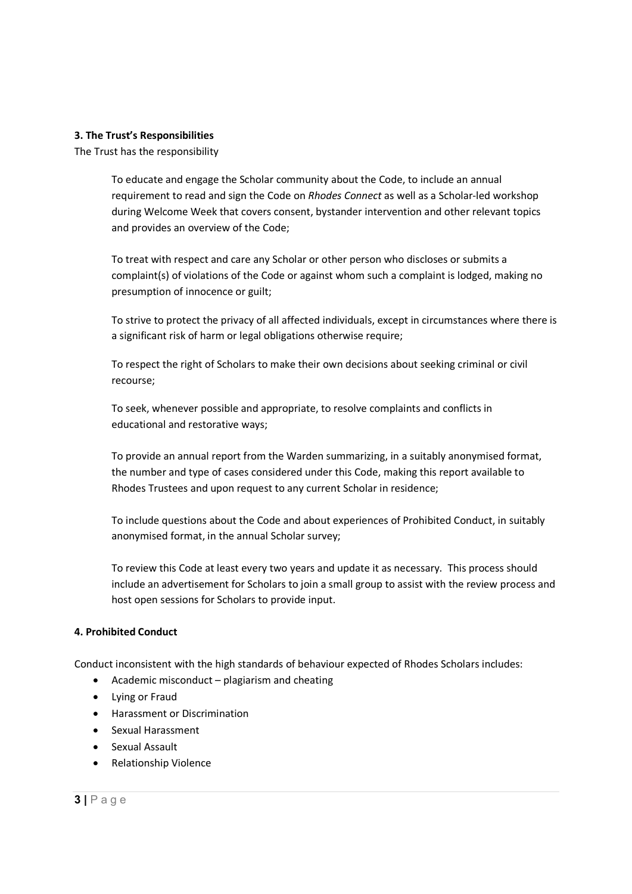#### 3. The Trust's Responsibilities

The Trust has the responsibility

To educate and engage the Scholar community about the Code, to include an annual requirement to read and sign the Code on Rhodes Connect as well as a Scholar-led workshop during Welcome Week that covers consent, bystander intervention and other relevant topics and provides an overview of the Code;

To treat with respect and care any Scholar or other person who discloses or submits a complaint(s) of violations of the Code or against whom such a complaint is lodged, making no presumption of innocence or guilt;

To strive to protect the privacy of all affected individuals, except in circumstances where there is a significant risk of harm or legal obligations otherwise require;

To respect the right of Scholars to make their own decisions about seeking criminal or civil recourse;

To seek, whenever possible and appropriate, to resolve complaints and conflicts in educational and restorative ways;

To provide an annual report from the Warden summarizing, in a suitably anonymised format, the number and type of cases considered under this Code, making this report available to Rhodes Trustees and upon request to any current Scholar in residence;

To include questions about the Code and about experiences of Prohibited Conduct, in suitably anonymised format, in the annual Scholar survey;

To review this Code at least every two years and update it as necessary. This process should include an advertisement for Scholars to join a small group to assist with the review process and host open sessions for Scholars to provide input.

### 4. Prohibited Conduct

Conduct inconsistent with the high standards of behaviour expected of Rhodes Scholars includes:

- $\bullet$  Academic misconduct plagiarism and cheating
- Lying or Fraud
- Harassment or Discrimination
- Sexual Harassment
- **•** Sexual Assault
- Relationship Violence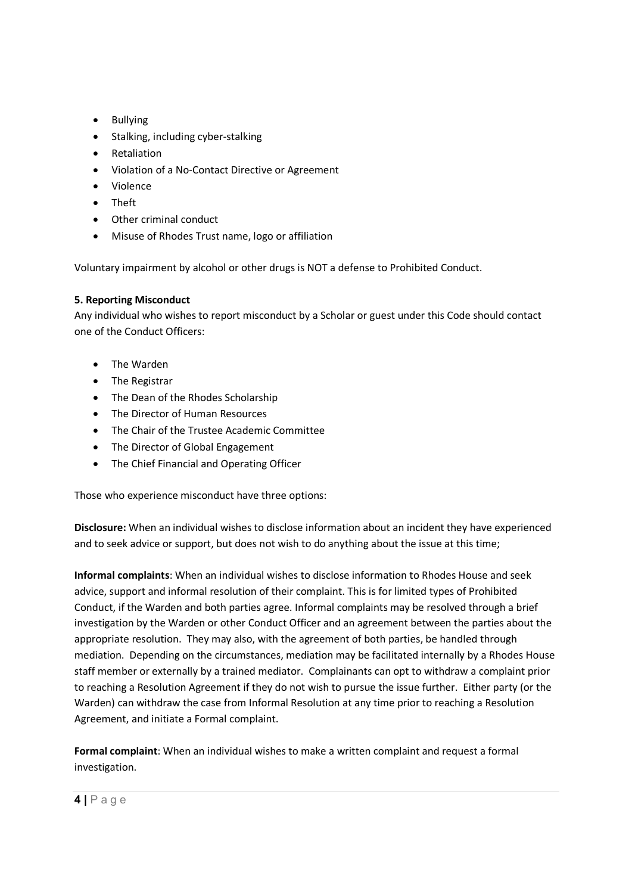- Bullying
- Stalking, including cyber-stalking
- Retaliation
- Violation of a No-Contact Directive or Agreement
- Violence
- Theft
- Other criminal conduct
- Misuse of Rhodes Trust name, logo or affiliation

Voluntary impairment by alcohol or other drugs is NOT a defense to Prohibited Conduct.

## 5. Reporting Misconduct

Any individual who wishes to report misconduct by a Scholar or guest under this Code should contact one of the Conduct Officers:

- The Warden
- The Registrar
- The Dean of the Rhodes Scholarship
- The Director of Human Resources
- The Chair of the Trustee Academic Committee
- The Director of Global Engagement
- The Chief Financial and Operating Officer

Those who experience misconduct have three options:

Disclosure: When an individual wishes to disclose information about an incident they have experienced and to seek advice or support, but does not wish to do anything about the issue at this time;

Informal complaints: When an individual wishes to disclose information to Rhodes House and seek advice, support and informal resolution of their complaint. This is for limited types of Prohibited Conduct, if the Warden and both parties agree. Informal complaints may be resolved through a brief investigation by the Warden or other Conduct Officer and an agreement between the parties about the appropriate resolution. They may also, with the agreement of both parties, be handled through mediation. Depending on the circumstances, mediation may be facilitated internally by a Rhodes House staff member or externally by a trained mediator. Complainants can opt to withdraw a complaint prior to reaching a Resolution Agreement if they do not wish to pursue the issue further. Either party (or the Warden) can withdraw the case from Informal Resolution at any time prior to reaching a Resolution Agreement, and initiate a Formal complaint.

Formal complaint: When an individual wishes to make a written complaint and request a formal investigation.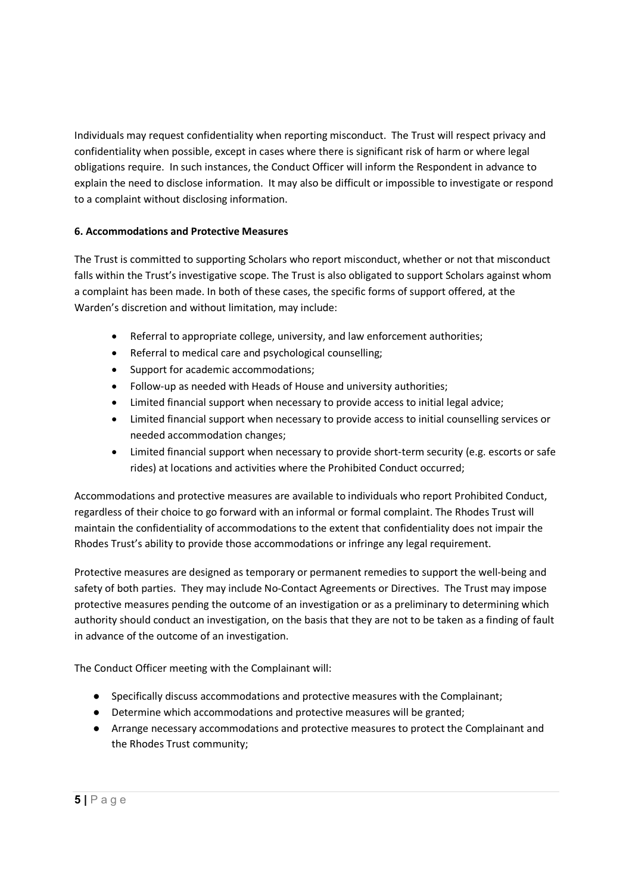Individuals may request confidentiality when reporting misconduct. The Trust will respect privacy and confidentiality when possible, except in cases where there is significant risk of harm or where legal obligations require. In such instances, the Conduct Officer will inform the Respondent in advance to explain the need to disclose information. It may also be difficult or impossible to investigate or respond to a complaint without disclosing information.

# 6. Accommodations and Protective Measures

The Trust is committed to supporting Scholars who report misconduct, whether or not that misconduct falls within the Trust's investigative scope. The Trust is also obligated to support Scholars against whom a complaint has been made. In both of these cases, the specific forms of support offered, at the Warden's discretion and without limitation, may include:

- Referral to appropriate college, university, and law enforcement authorities;
- Referral to medical care and psychological counselling;
- Support for academic accommodations;
- Follow-up as needed with Heads of House and university authorities;
- Limited financial support when necessary to provide access to initial legal advice;
- Limited financial support when necessary to provide access to initial counselling services or needed accommodation changes;
- Limited financial support when necessary to provide short-term security (e.g. escorts or safe rides) at locations and activities where the Prohibited Conduct occurred;

Accommodations and protective measures are available to individuals who report Prohibited Conduct, regardless of their choice to go forward with an informal or formal complaint. The Rhodes Trust will maintain the confidentiality of accommodations to the extent that confidentiality does not impair the Rhodes Trust's ability to provide those accommodations or infringe any legal requirement.

Protective measures are designed as temporary or permanent remedies to support the well-being and safety of both parties. They may include No-Contact Agreements or Directives. The Trust may impose protective measures pending the outcome of an investigation or as a preliminary to determining which authority should conduct an investigation, on the basis that they are not to be taken as a finding of fault in advance of the outcome of an investigation.

The Conduct Officer meeting with the Complainant will:

- Specifically discuss accommodations and protective measures with the Complainant;
- Determine which accommodations and protective measures will be granted;
- Arrange necessary accommodations and protective measures to protect the Complainant and the Rhodes Trust community;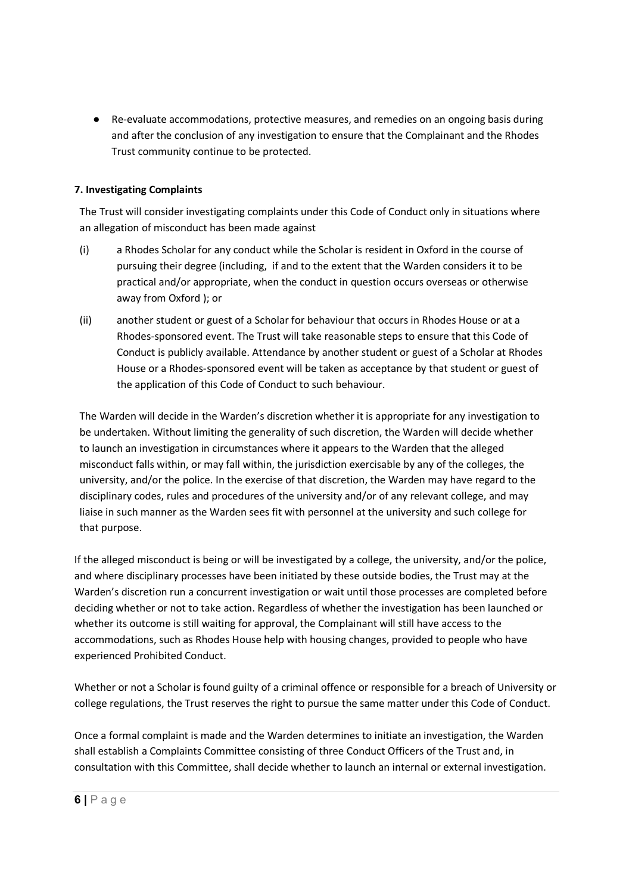● Re-evaluate accommodations, protective measures, and remedies on an ongoing basis during and after the conclusion of any investigation to ensure that the Complainant and the Rhodes Trust community continue to be protected.

# 7. Investigating Complaints

The Trust will consider investigating complaints under this Code of Conduct only in situations where an allegation of misconduct has been made against

- (i) a Rhodes Scholar for any conduct while the Scholar is resident in Oxford in the course of pursuing their degree (including, if and to the extent that the Warden considers it to be practical and/or appropriate, when the conduct in question occurs overseas or otherwise away from Oxford ); or
- (ii) another student or guest of a Scholar for behaviour that occurs in Rhodes House or at a Rhodes-sponsored event. The Trust will take reasonable steps to ensure that this Code of Conduct is publicly available. Attendance by another student or guest of a Scholar at Rhodes House or a Rhodes-sponsored event will be taken as acceptance by that student or guest of the application of this Code of Conduct to such behaviour.

The Warden will decide in the Warden's discretion whether it is appropriate for any investigation to be undertaken. Without limiting the generality of such discretion, the Warden will decide whether to launch an investigation in circumstances where it appears to the Warden that the alleged misconduct falls within, or may fall within, the jurisdiction exercisable by any of the colleges, the university, and/or the police. In the exercise of that discretion, the Warden may have regard to the disciplinary codes, rules and procedures of the university and/or of any relevant college, and may liaise in such manner as the Warden sees fit with personnel at the university and such college for that purpose.

If the alleged misconduct is being or will be investigated by a college, the university, and/or the police, and where disciplinary processes have been initiated by these outside bodies, the Trust may at the Warden's discretion run a concurrent investigation or wait until those processes are completed before deciding whether or not to take action. Regardless of whether the investigation has been launched or whether its outcome is still waiting for approval, the Complainant will still have access to the accommodations, such as Rhodes House help with housing changes, provided to people who have experienced Prohibited Conduct.

Whether or not a Scholar is found guilty of a criminal offence or responsible for a breach of University or college regulations, the Trust reserves the right to pursue the same matter under this Code of Conduct.

Once a formal complaint is made and the Warden determines to initiate an investigation, the Warden shall establish a Complaints Committee consisting of three Conduct Officers of the Trust and, in consultation with this Committee, shall decide whether to launch an internal or external investigation.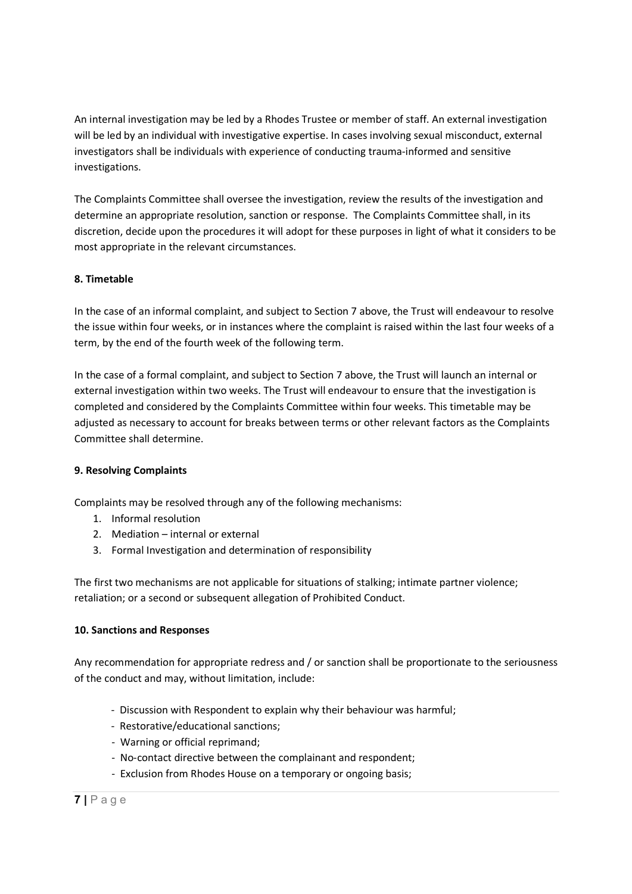An internal investigation may be led by a Rhodes Trustee or member of staff. An external investigation will be led by an individual with investigative expertise. In cases involving sexual misconduct, external investigators shall be individuals with experience of conducting trauma-informed and sensitive investigations.

The Complaints Committee shall oversee the investigation, review the results of the investigation and determine an appropriate resolution, sanction or response. The Complaints Committee shall, in its discretion, decide upon the procedures it will adopt for these purposes in light of what it considers to be most appropriate in the relevant circumstances.

# 8. Timetable

In the case of an informal complaint, and subject to Section 7 above, the Trust will endeavour to resolve the issue within four weeks, or in instances where the complaint is raised within the last four weeks of a term, by the end of the fourth week of the following term.

In the case of a formal complaint, and subject to Section 7 above, the Trust will launch an internal or external investigation within two weeks. The Trust will endeavour to ensure that the investigation is completed and considered by the Complaints Committee within four weeks. This timetable may be adjusted as necessary to account for breaks between terms or other relevant factors as the Complaints Committee shall determine.

### 9. Resolving Complaints

Complaints may be resolved through any of the following mechanisms:

- 1. Informal resolution
- 2. Mediation internal or external
- 3. Formal Investigation and determination of responsibility

The first two mechanisms are not applicable for situations of stalking; intimate partner violence; retaliation; or a second or subsequent allegation of Prohibited Conduct.

### 10. Sanctions and Responses

Any recommendation for appropriate redress and / or sanction shall be proportionate to the seriousness of the conduct and may, without limitation, include:

- Discussion with Respondent to explain why their behaviour was harmful;
- Restorative/educational sanctions;
- Warning or official reprimand;
- No-contact directive between the complainant and respondent;
- Exclusion from Rhodes House on a temporary or ongoing basis;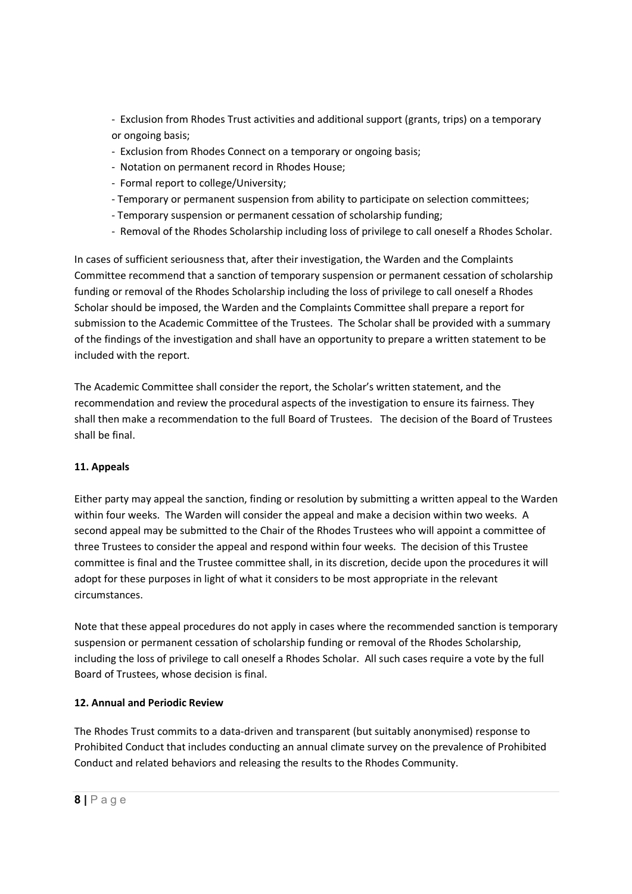- Exclusion from Rhodes Trust activities and additional support (grants, trips) on a temporary or ongoing basis;

- Exclusion from Rhodes Connect on a temporary or ongoing basis;
- Notation on permanent record in Rhodes House;
- Formal report to college/University;
- Temporary or permanent suspension from ability to participate on selection committees;
- Temporary suspension or permanent cessation of scholarship funding;
- Removal of the Rhodes Scholarship including loss of privilege to call oneself a Rhodes Scholar.

In cases of sufficient seriousness that, after their investigation, the Warden and the Complaints Committee recommend that a sanction of temporary suspension or permanent cessation of scholarship funding or removal of the Rhodes Scholarship including the loss of privilege to call oneself a Rhodes Scholar should be imposed, the Warden and the Complaints Committee shall prepare a report for submission to the Academic Committee of the Trustees. The Scholar shall be provided with a summary of the findings of the investigation and shall have an opportunity to prepare a written statement to be included with the report.

The Academic Committee shall consider the report, the Scholar's written statement, and the recommendation and review the procedural aspects of the investigation to ensure its fairness. They shall then make a recommendation to the full Board of Trustees. The decision of the Board of Trustees shall be final.

# 11. Appeals

Either party may appeal the sanction, finding or resolution by submitting a written appeal to the Warden within four weeks. The Warden will consider the appeal and make a decision within two weeks. A second appeal may be submitted to the Chair of the Rhodes Trustees who will appoint a committee of three Trustees to consider the appeal and respond within four weeks. The decision of this Trustee committee is final and the Trustee committee shall, in its discretion, decide upon the procedures it will adopt for these purposes in light of what it considers to be most appropriate in the relevant circumstances.

Note that these appeal procedures do not apply in cases where the recommended sanction is temporary suspension or permanent cessation of scholarship funding or removal of the Rhodes Scholarship, including the loss of privilege to call oneself a Rhodes Scholar. All such cases require a vote by the full Board of Trustees, whose decision is final.

# 12. Annual and Periodic Review

The Rhodes Trust commits to a data-driven and transparent (but suitably anonymised) response to Prohibited Conduct that includes conducting an annual climate survey on the prevalence of Prohibited Conduct and related behaviors and releasing the results to the Rhodes Community.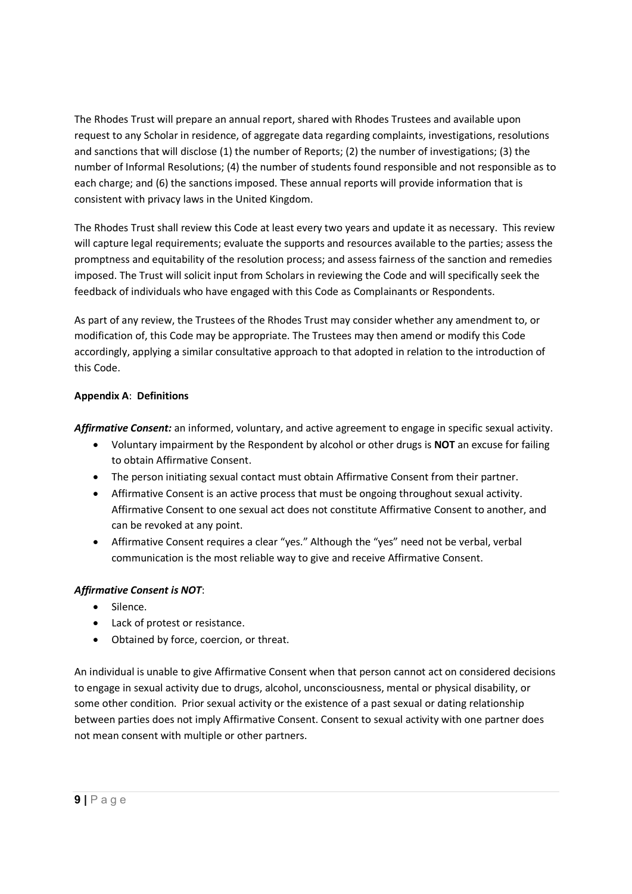The Rhodes Trust will prepare an annual report, shared with Rhodes Trustees and available upon request to any Scholar in residence, of aggregate data regarding complaints, investigations, resolutions and sanctions that will disclose (1) the number of Reports; (2) the number of investigations; (3) the number of Informal Resolutions; (4) the number of students found responsible and not responsible as to each charge; and (6) the sanctions imposed. These annual reports will provide information that is consistent with privacy laws in the United Kingdom.

The Rhodes Trust shall review this Code at least every two years and update it as necessary. This review will capture legal requirements; evaluate the supports and resources available to the parties; assess the promptness and equitability of the resolution process; and assess fairness of the sanction and remedies imposed. The Trust will solicit input from Scholars in reviewing the Code and will specifically seek the feedback of individuals who have engaged with this Code as Complainants or Respondents.

As part of any review, the Trustees of the Rhodes Trust may consider whether any amendment to, or modification of, this Code may be appropriate. The Trustees may then amend or modify this Code accordingly, applying a similar consultative approach to that adopted in relation to the introduction of this Code.

# Appendix A: Definitions

Affirmative Consent: an informed, voluntary, and active agreement to engage in specific sexual activity.

- Voluntary impairment by the Respondent by alcohol or other drugs is **NOT** an excuse for failing to obtain Affirmative Consent.
- The person initiating sexual contact must obtain Affirmative Consent from their partner.
- Affirmative Consent is an active process that must be ongoing throughout sexual activity. Affirmative Consent to one sexual act does not constitute Affirmative Consent to another, and can be revoked at any point.
- Affirmative Consent requires a clear "yes." Although the "yes" need not be verbal, verbal communication is the most reliable way to give and receive Affirmative Consent.

# Affirmative Consent is NOT:

- Silence.
- Lack of protest or resistance.
- Obtained by force, coercion, or threat.

An individual is unable to give Affirmative Consent when that person cannot act on considered decisions to engage in sexual activity due to drugs, alcohol, unconsciousness, mental or physical disability, or some other condition. Prior sexual activity or the existence of a past sexual or dating relationship between parties does not imply Affirmative Consent. Consent to sexual activity with one partner does not mean consent with multiple or other partners.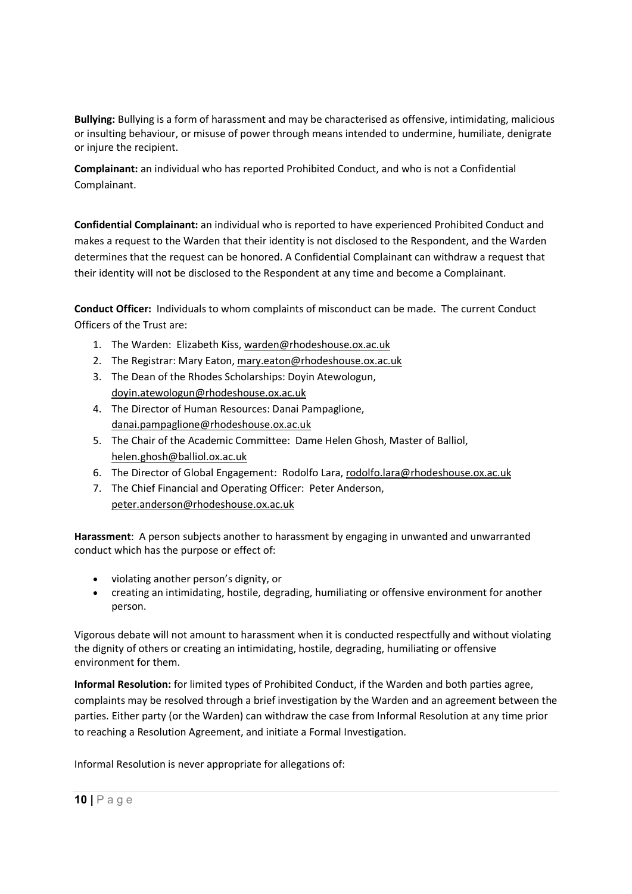Bullying: Bullying is a form of harassment and may be characterised as offensive, intimidating, malicious or insulting behaviour, or misuse of power through means intended to undermine, humiliate, denigrate or injure the recipient.

Complainant: an individual who has reported Prohibited Conduct, and who is not a Confidential Complainant.

Confidential Complainant: an individual who is reported to have experienced Prohibited Conduct and makes a request to the Warden that their identity is not disclosed to the Respondent, and the Warden determines that the request can be honored. A Confidential Complainant can withdraw a request that their identity will not be disclosed to the Respondent at any time and become a Complainant.

Conduct Officer: Individuals to whom complaints of misconduct can be made. The current Conduct Officers of the Trust are:

- 1. The Warden: Elizabeth Kiss, warden@rhodeshouse.ox.ac.uk
- 2. The Registrar: Mary Eaton, mary.eaton@rhodeshouse.ox.ac.uk
- 3. The Dean of the Rhodes Scholarships: Doyin Atewologun, doyin.atewologun@rhodeshouse.ox.ac.uk
- 4. The Director of Human Resources: Danai Pampaglione, danai.pampaglione@rhodeshouse.ox.ac.uk
- 5. The Chair of the Academic Committee: Dame Helen Ghosh, Master of Balliol, helen.ghosh@balliol.ox.ac.uk
- 6. The Director of Global Engagement: Rodolfo Lara, rodolfo.lara@rhodeshouse.ox.ac.uk
- 7. The Chief Financial and Operating Officer: Peter Anderson, peter.anderson@rhodeshouse.ox.ac.uk

Harassment: A person subjects another to harassment by engaging in unwanted and unwarranted conduct which has the purpose or effect of:

- violating another person's dignity, or
- creating an intimidating, hostile, degrading, humiliating or offensive environment for another person.

Vigorous debate will not amount to harassment when it is conducted respectfully and without violating the dignity of others or creating an intimidating, hostile, degrading, humiliating or offensive environment for them.

Informal Resolution: for limited types of Prohibited Conduct, if the Warden and both parties agree, complaints may be resolved through a brief investigation by the Warden and an agreement between the parties. Either party (or the Warden) can withdraw the case from Informal Resolution at any time prior to reaching a Resolution Agreement, and initiate a Formal Investigation.

Informal Resolution is never appropriate for allegations of: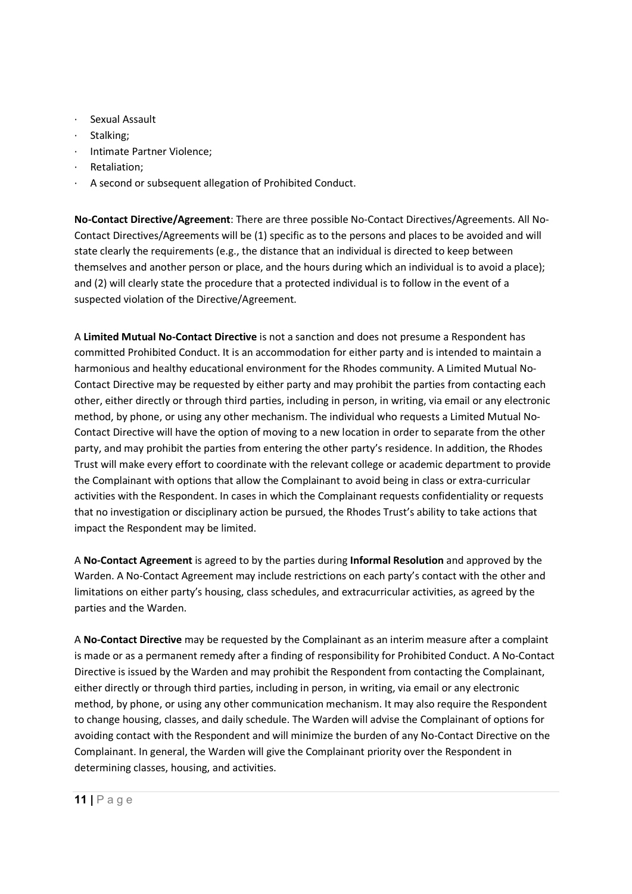- Sexual Assault
- · Stalking;
- · Intimate Partner Violence;
- · Retaliation;
- A second or subsequent allegation of Prohibited Conduct.

No-Contact Directive/Agreement: There are three possible No-Contact Directives/Agreements. All No-Contact Directives/Agreements will be (1) specific as to the persons and places to be avoided and will state clearly the requirements (e.g., the distance that an individual is directed to keep between themselves and another person or place, and the hours during which an individual is to avoid a place); and (2) will clearly state the procedure that a protected individual is to follow in the event of a suspected violation of the Directive/Agreement.

A Limited Mutual No-Contact Directive is not a sanction and does not presume a Respondent has committed Prohibited Conduct. It is an accommodation for either party and is intended to maintain a harmonious and healthy educational environment for the Rhodes community. A Limited Mutual No-Contact Directive may be requested by either party and may prohibit the parties from contacting each other, either directly or through third parties, including in person, in writing, via email or any electronic method, by phone, or using any other mechanism. The individual who requests a Limited Mutual No-Contact Directive will have the option of moving to a new location in order to separate from the other party, and may prohibit the parties from entering the other party's residence. In addition, the Rhodes Trust will make every effort to coordinate with the relevant college or academic department to provide the Complainant with options that allow the Complainant to avoid being in class or extra-curricular activities with the Respondent. In cases in which the Complainant requests confidentiality or requests that no investigation or disciplinary action be pursued, the Rhodes Trust's ability to take actions that impact the Respondent may be limited.

A No-Contact Agreement is agreed to by the parties during Informal Resolution and approved by the Warden. A No-Contact Agreement may include restrictions on each party's contact with the other and limitations on either party's housing, class schedules, and extracurricular activities, as agreed by the parties and the Warden.

A No-Contact Directive may be requested by the Complainant as an interim measure after a complaint is made or as a permanent remedy after a finding of responsibility for Prohibited Conduct. A No-Contact Directive is issued by the Warden and may prohibit the Respondent from contacting the Complainant, either directly or through third parties, including in person, in writing, via email or any electronic method, by phone, or using any other communication mechanism. It may also require the Respondent to change housing, classes, and daily schedule. The Warden will advise the Complainant of options for avoiding contact with the Respondent and will minimize the burden of any No-Contact Directive on the Complainant. In general, the Warden will give the Complainant priority over the Respondent in determining classes, housing, and activities.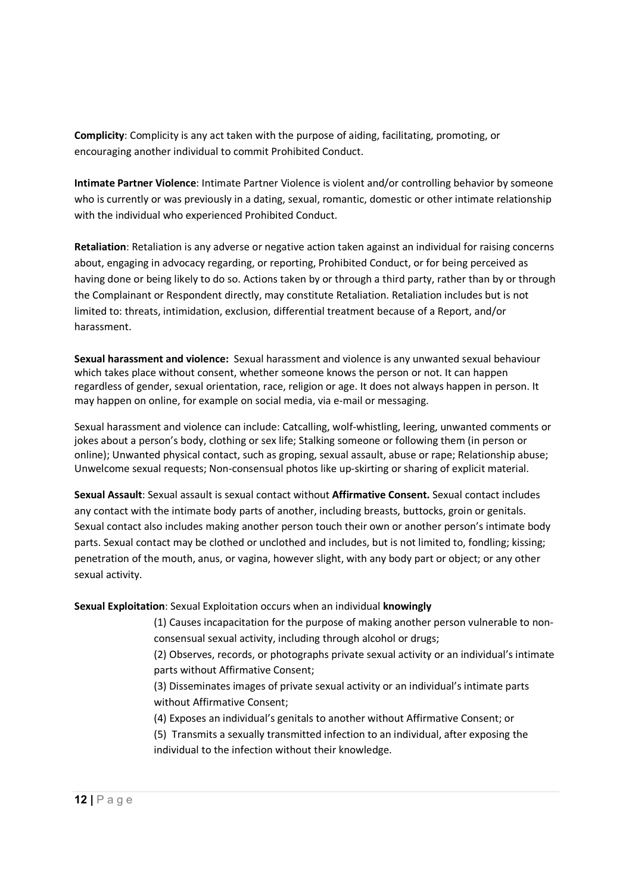Complicity: Complicity is any act taken with the purpose of aiding, facilitating, promoting, or encouraging another individual to commit Prohibited Conduct.

Intimate Partner Violence: Intimate Partner Violence is violent and/or controlling behavior by someone who is currently or was previously in a dating, sexual, romantic, domestic or other intimate relationship with the individual who experienced Prohibited Conduct.

Retaliation: Retaliation is any adverse or negative action taken against an individual for raising concerns about, engaging in advocacy regarding, or reporting, Prohibited Conduct, or for being perceived as having done or being likely to do so. Actions taken by or through a third party, rather than by or through the Complainant or Respondent directly, may constitute Retaliation. Retaliation includes but is not limited to: threats, intimidation, exclusion, differential treatment because of a Report, and/or harassment.

Sexual harassment and violence: Sexual harassment and violence is any unwanted sexual behaviour which takes place without consent, whether someone knows the person or not. It can happen regardless of gender, sexual orientation, race, religion or age. It does not always happen in person. It may happen on online, for example on social media, via e-mail or messaging.

Sexual harassment and violence can include: Catcalling, wolf-whistling, leering, unwanted comments or jokes about a person's body, clothing or sex life; Stalking someone or following them (in person or online); Unwanted physical contact, such as groping, sexual assault, abuse or rape; Relationship abuse; Unwelcome sexual requests; Non-consensual photos like up-skirting or sharing of explicit material.

Sexual Assault: Sexual assault is sexual contact without Affirmative Consent. Sexual contact includes any contact with the intimate body parts of another, including breasts, buttocks, groin or genitals. Sexual contact also includes making another person touch their own or another person's intimate body parts. Sexual contact may be clothed or unclothed and includes, but is not limited to, fondling; kissing; penetration of the mouth, anus, or vagina, however slight, with any body part or object; or any other sexual activity.

### Sexual Exploitation: Sexual Exploitation occurs when an individual knowingly

(1) Causes incapacitation for the purpose of making another person vulnerable to nonconsensual sexual activity, including through alcohol or drugs;

(2) Observes, records, or photographs private sexual activity or an individual's intimate parts without Affirmative Consent;

(3) Disseminates images of private sexual activity or an individual's intimate parts without Affirmative Consent;

(4) Exposes an individual's genitals to another without Affirmative Consent; or

(5) Transmits a sexually transmitted infection to an individual, after exposing the individual to the infection without their knowledge.